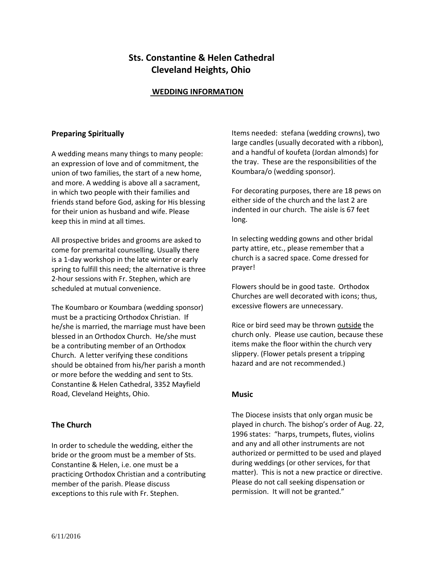# **Sts. Constantine & Helen Cathedral Cleveland Heights, Ohio**

## **WEDDING INFORMATION**

## **Preparing Spiritually**

A wedding means many things to many people: an expression of love and of commitment, the union of two families, the start of a new home, and more. A wedding is above all a sacrament, in which two people with their families and friends stand before God, asking for His blessing for their union as husband and wife. Please keep this in mind at all times.

All prospective brides and grooms are asked to come for premarital counselling. Usually there is a 1-day workshop in the late winter or early spring to fulfill this need; the alternative is three 2-hour sessions with Fr. Stephen, which are scheduled at mutual convenience.

The Koumbaro or Koumbara (wedding sponsor) must be a practicing Orthodox Christian. If he/she is married, the marriage must have been blessed in an Orthodox Church. He/she must be a contributing member of an Orthodox Church. A letter verifying these conditions should be obtained from his/her parish a month or more before the wedding and sent to Sts. Constantine & Helen Cathedral, 3352 Mayfield Road, Cleveland Heights, Ohio.

#### **The Church**

In order to schedule the wedding, either the bride or the groom must be a member of Sts. Constantine & Helen, i.e. one must be a practicing Orthodox Christian and a contributing member of the parish. Please discuss exceptions to this rule with Fr. Stephen.

Items needed: stefana (wedding crowns), two large candles (usually decorated with a ribbon), and a handful of koufeta (Jordan almonds) for the tray. These are the responsibilities of the Koumbara/o (wedding sponsor).

For decorating purposes, there are 18 pews on either side of the church and the last 2 are indented in our church. The aisle is 67 feet long.

In selecting wedding gowns and other bridal party attire, etc., please remember that a church is a sacred space. Come dressed for prayer!

Flowers should be in good taste. Orthodox Churches are well decorated with icons; thus, excessive flowers are unnecessary.

Rice or bird seed may be thrown outside the church only. Please use caution, because these items make the floor within the church very slippery. (Flower petals present a tripping hazard and are not recommended.)

## **Music**

The Diocese insists that only organ music be played in church. The bishop's order of Aug. 22, 1996 states: "harps, trumpets, flutes, violins and any and all other instruments are not authorized or permitted to be used and played during weddings (or other services, for that matter). This is not a new practice or directive. Please do not call seeking dispensation or permission. It will not be granted."